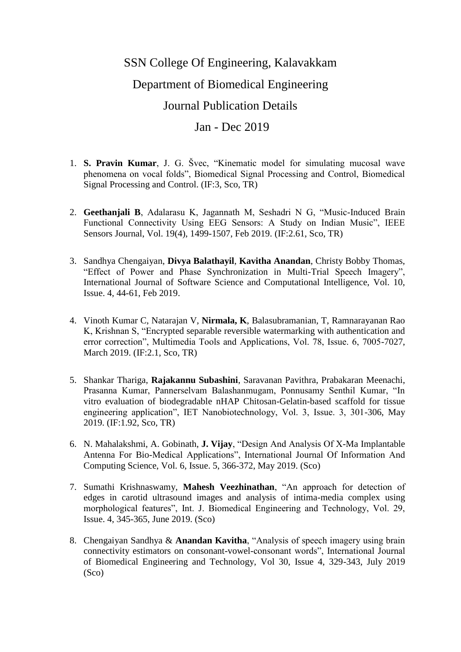## SSN College Of Engineering, Kalavakkam Department of Biomedical Engineering Journal Publication Details

## Jan - Dec 2019

- 1. **S. Pravin Kumar**, J. G. Švec, "Kinematic model for simulating mucosal wave phenomena on vocal folds", Biomedical Signal Processing and Control, Biomedical Signal Processing and Control. (IF:3, Sco, TR)
- 2. **Geethanjali B**, Adalarasu K, Jagannath M, Seshadri N G, "Music-Induced Brain Functional Connectivity Using EEG Sensors: A Study on Indian Music", IEEE Sensors Journal, Vol. 19(4), 1499-1507, Feb 2019. (IF:2.61, Sco, TR)
- 3. Sandhya Chengaiyan, **Divya Balathayil**, **Kavitha Anandan**, Christy Bobby Thomas, "Effect of Power and Phase Synchronization in Multi-Trial Speech Imagery", International Journal of Software Science and Computational Intelligence, Vol. 10, Issue. 4, 44-61, Feb 2019.
- 4. Vinoth Kumar C, Natarajan V, **Nirmala, K**, Balasubramanian, T, Ramnarayanan Rao K, Krishnan S, "Encrypted separable reversible watermarking with authentication and error correction", Multimedia Tools and Applications, Vol. 78, Issue. 6, 7005-7027, March 2019. (IF:2.1, Sco, TR)
- 5. Shankar Thariga, **Rajakannu Subashini**, Saravanan Pavithra, Prabakaran Meenachi, Prasanna Kumar, Pannerselvam Balashanmugam, Ponnusamy Senthil Kumar, "In vitro evaluation of biodegradable nHAP Chitosan-Gelatin-based scaffold for tissue engineering application", IET Nanobiotechnology, Vol. 3, Issue. 3, 301-306, May 2019. (IF:1.92, Sco, TR)
- 6. N. Mahalakshmi, A. Gobinath, **J. Vijay**, "Design And Analysis Of X-Ma Implantable Antenna For Bio-Medical Applications", International Journal Of Information And Computing Science, Vol. 6, Issue. 5, 366-372, May 2019. (Sco)
- 7. Sumathi Krishnaswamy, **Mahesh Veezhinathan**, "An approach for detection of edges in carotid ultrasound images and analysis of intima-media complex using morphological features", Int. J. Biomedical Engineering and Technology, Vol. 29, Issue. 4, 345-365, June 2019. (Sco)
- 8. Chengaiyan Sandhya & **Anandan Kavitha**, "Analysis of speech imagery using brain connectivity estimators on consonant-vowel-consonant words", International Journal of Biomedical Engineering and Technology, Vol 30, Issue 4, 329-343, July 2019 (Sco)